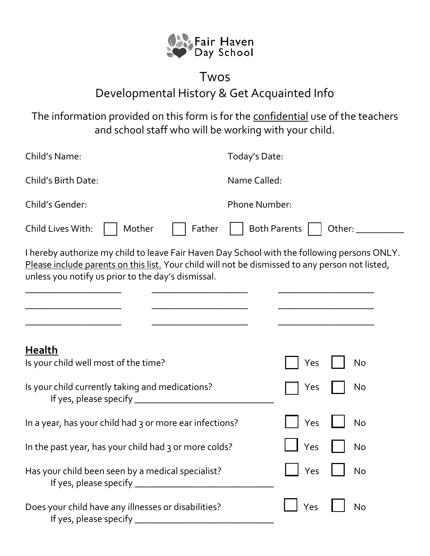

## Twos Developmental History & Get Acquainted Info

The information provided on this form is for the confidential use of the teachers and school staff who will be working with your child.

| Child's Name:                                                                                                                                                                                                                                        | Today's Date:                 |
|------------------------------------------------------------------------------------------------------------------------------------------------------------------------------------------------------------------------------------------------------|-------------------------------|
| Child's Birth Date:                                                                                                                                                                                                                                  | Name Called:                  |
| Child's Gender:                                                                                                                                                                                                                                      | <b>Phone Number:</b>          |
| Child Lives With:<br>Mother<br>Father                                                                                                                                                                                                                | <b>Both Parents</b><br>Other: |
| I hereby authorize my child to leave Fair Haven Day School with the following persons ONLY.<br>Please include parents on this list. Your child will not be dismissed to any person not listed,<br>unless you notify us prior to the day's dismissal. |                               |
| <b>Health</b><br>Is your child well most of the time?                                                                                                                                                                                                | No<br>Yes                     |
| Is your child currently taking and medications?                                                                                                                                                                                                      | No<br>Yes                     |
| In a year, has your child had 3 or more ear infections?                                                                                                                                                                                              | <b>No</b><br>Yes              |
| In the past year, has your child had 3 or more colds?                                                                                                                                                                                                | Yes<br>No                     |
| Has your child been seen by a medical specialist?                                                                                                                                                                                                    | Yes<br>No                     |
| Does your child have any illnesses or disabilities?                                                                                                                                                                                                  | Yes<br>No                     |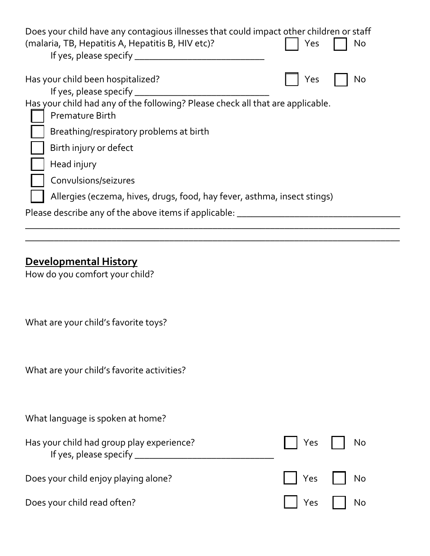| Does your child have any contagious illnesses that could impact other children or staff<br>(malaria, TB, Hepatitis A, Hepatitis B, HIV etc)?<br>If yes, please specify | Yes | No |
|------------------------------------------------------------------------------------------------------------------------------------------------------------------------|-----|----|
| Has your child been hospitalized?<br>If yes, please specify                                                                                                            | Yes | No |
| Has your child had any of the following? Please check all that are applicable.<br><b>Premature Birth</b>                                                               |     |    |
| Breathing/respiratory problems at birth                                                                                                                                |     |    |
| Birth injury or defect                                                                                                                                                 |     |    |
| Head injury                                                                                                                                                            |     |    |
| Convulsions/seizures                                                                                                                                                   |     |    |
| Allergies (eczema, hives, drugs, food, hay fever, asthma, insect stings)                                                                                               |     |    |
| Please describe any of the above items if applicable:                                                                                                                  |     |    |
|                                                                                                                                                                        |     |    |

\_\_\_\_\_\_\_\_\_\_\_\_\_\_\_\_\_\_\_\_\_\_\_\_\_\_\_\_\_\_\_\_\_\_\_\_\_\_\_\_\_\_\_\_\_\_\_\_\_\_\_\_\_\_\_\_\_\_\_\_\_\_\_\_\_\_\_\_\_\_\_\_\_\_\_\_\_\_

## **Developmental History**

How do you comfort your child?

What are your child's favorite toys?

What are your child's favorite activities?

What language is spoken at home?

| Has your child had group play experience? | $\vert$   Yes     No |  |
|-------------------------------------------|----------------------|--|
| Does your child enjoy playing alone?      | $\Box$ Yes $\Box$ No |  |
| Does your child read often?               | $\Box$ Yes $\Box$ No |  |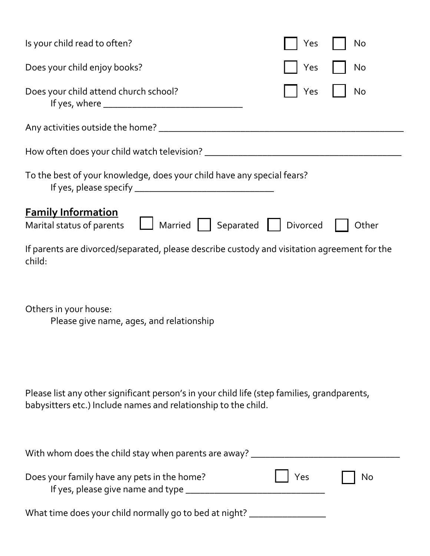| Is your child read to often?                                                                                                                                  | Yes      | No    |
|---------------------------------------------------------------------------------------------------------------------------------------------------------------|----------|-------|
|                                                                                                                                                               |          |       |
| Does your child enjoy books?                                                                                                                                  | Yes      | No    |
| Does your child attend church school?                                                                                                                         | Yes      | No    |
|                                                                                                                                                               |          |       |
|                                                                                                                                                               |          |       |
| To the best of your knowledge, does your child have any special fears?                                                                                        |          |       |
| <b>Family Information</b>                                                                                                                                     |          |       |
| Married   Separated<br>Marital status of parents                                                                                                              | Divorced | Other |
| If parents are divorced/separated, please describe custody and visitation agreement for the<br>child:                                                         |          |       |
| Others in your house:<br>Please give name, ages, and relationship                                                                                             |          |       |
| Please list any other significant person's in your child life (step families, grandparents,<br>babysitters etc.) Include names and relationship to the child. |          |       |
| With whom does the child stay when parents are away? ______                                                                                                   |          |       |
| Does your family have any pets in the home?<br>If yes, please give name and type __________                                                                   | Yes      | No    |
| What time does your child normally go to bed at night? _                                                                                                      |          |       |